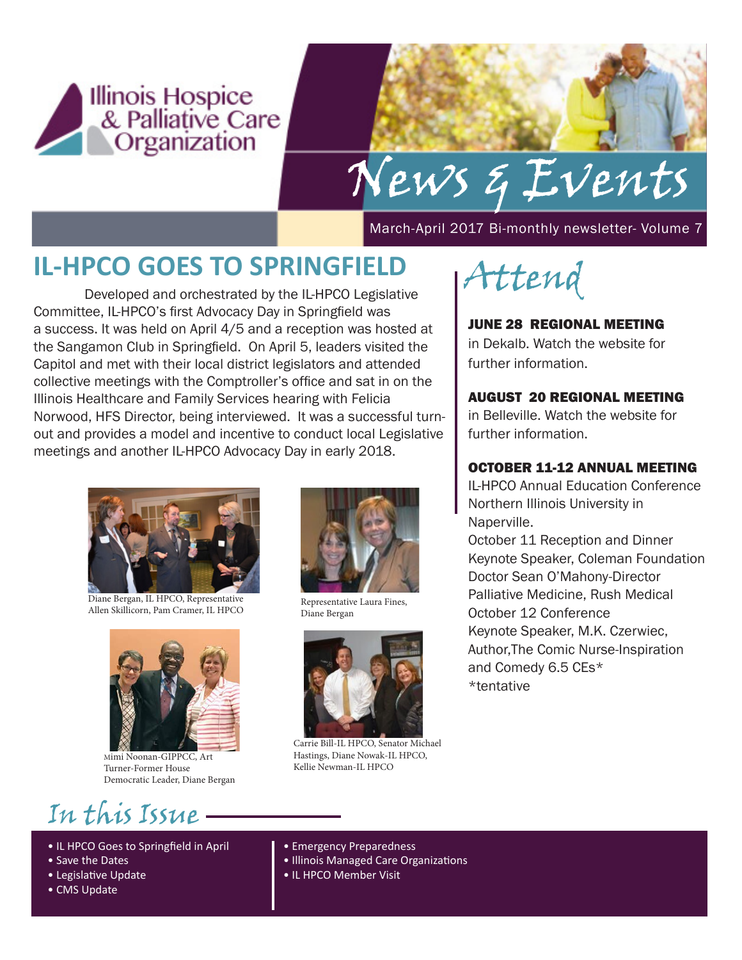

# News & Events

March-April 2017 Bi-monthly newsletter- Volume 7

## **IL-HPCO GOES TO SPRINGFIELD**

 Developed and orchestrated by the IL-HPCO Legislative Committee, IL-HPCO's first Advocacy Day in Springfield was a success. It was held on April 4/5 and a reception was hosted at the Sangamon Club in Springfield. On April 5, leaders visited the Capitol and met with their local district legislators and attended collective meetings with the Comptroller's office and sat in on the Illinois Healthcare and Family Services hearing with Felicia Norwood, HFS Director, being interviewed. It was a successful turnout and provides a model and incentive to conduct local Legislative meetings and another IL-HPCO Advocacy Day in early 2018.



Diane Bergan, IL HPCO, Representative Allen Skillicorn, Pam Cramer, IL HPCO



Mimi Noonan-GIPPCC, Art Turner-Former House Democratic Leader, Diane Bergan

# In this Issue

- IL HPCO Goes to Springfield in April
- Save the Dates
- Legislative Update
- CMS Update



Representative Laura Fines, Diane Bergan



Carrie Bill-IL HPCO, Senator Michael Hastings, Diane Nowak-IL HPCO, Kellie Newman-IL HPCO



#### JUNE 28 REGIONAL MEETING

in Dekalb. Watch the website for further information.

#### AUGUST 20 REGIONAL MEETING

in Belleville. Watch the website for further information.

#### OCTOBER 11-12 ANNUAL MEETING

IL-HPCO Annual Education Conference Northern Illinois University in Naperville.

October 11 Reception and Dinner Keynote Speaker, Coleman Foundation Doctor Sean O'Mahony-Director Palliative Medicine, Rush Medical October 12 Conference Keynote Speaker, M.K. Czerwiec, Author,The Comic Nurse-Inspiration and Comedy 6.5 CEs\* \*tentative

- Emergency Preparedness
- Illinois Managed Care Organizations
- IL HPCO Member Visit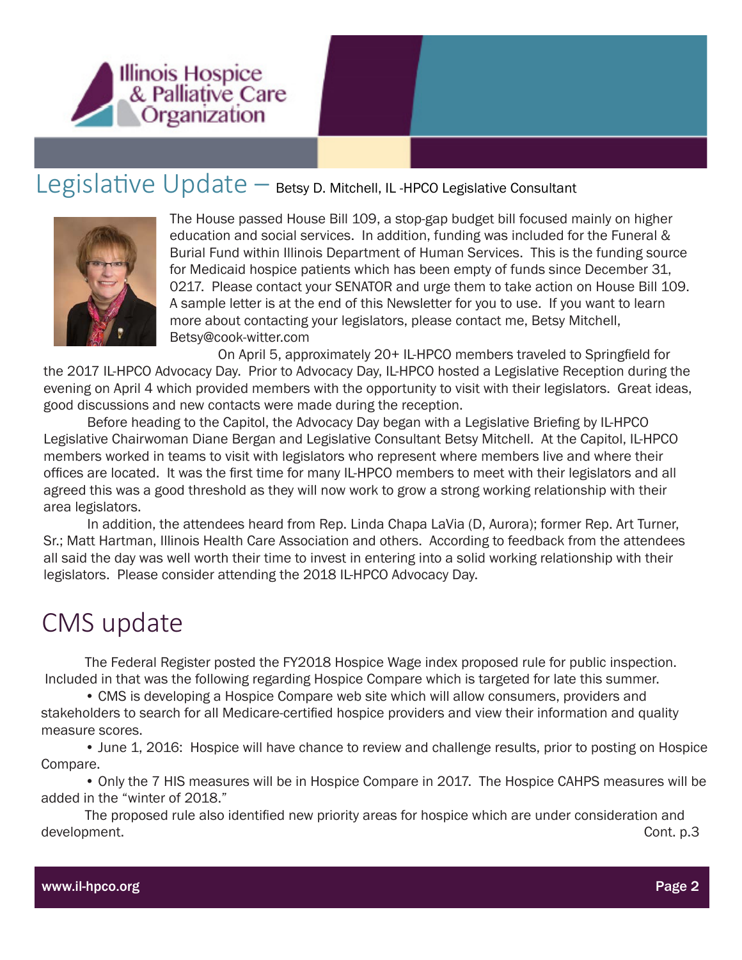

#### Legislative Update – Betsy D. Mitchell, IL -HPCO Legislative Consultant



The House passed House Bill 109, a stop-gap budget bill focused mainly on higher education and social services. In addition, funding was included for the Funeral & Burial Fund within Illinois Department of Human Services. This is the funding source for Medicaid hospice patients which has been empty of funds since December 31, 0217. Please contact your SENATOR and urge them to take action on House Bill 109. A sample letter is at the end of this Newsletter for you to use. If you want to learn more about contacting your legislators, please contact me, Betsy Mitchell, Betsy@cook-witter.com

 On April 5, approximately 20+ IL-HPCO members traveled to Springfield for the 2017 IL-HPCO Advocacy Day. Prior to Advocacy Day, IL-HPCO hosted a Legislative Reception during the evening on April 4 which provided members with the opportunity to visit with their legislators. Great ideas, good discussions and new contacts were made during the reception.

 Before heading to the Capitol, the Advocacy Day began with a Legislative Briefing by IL-HPCO Legislative Chairwoman Diane Bergan and Legislative Consultant Betsy Mitchell. At the Capitol, IL-HPCO members worked in teams to visit with legislators who represent where members live and where their offices are located. It was the first time for many IL-HPCO members to meet with their legislators and all agreed this was a good threshold as they will now work to grow a strong working relationship with their area legislators.

In addition, the attendees heard from Rep. Linda Chapa LaVia (D, Aurora); former Rep. Art Turner, Sr.; Matt Hartman, Illinois Health Care Association and others. According to feedback from the attendees all said the day was well worth their time to invest in entering into a solid working relationship with their legislators. Please consider attending the 2018 IL-HPCO Advocacy Day.

#### CMS update

The Federal Register posted the FY2018 Hospice Wage index proposed rule for public inspection. Included in that was the following regarding Hospice Compare which is targeted for late this summer.

• CMS is developing a Hospice Compare web site which will allow consumers, providers and stakeholders to search for all Medicare-certified hospice providers and view their information and quality measure scores.

• June 1, 2016: Hospice will have chance to review and challenge results, prior to posting on Hospice Compare.

• Only the 7 HIS measures will be in Hospice Compare in 2017. The Hospice CAHPS measures will be added in the "winter of 2018."

 The proposed rule also identified new priority areas for hospice which are under consideration and development. Cont. p.3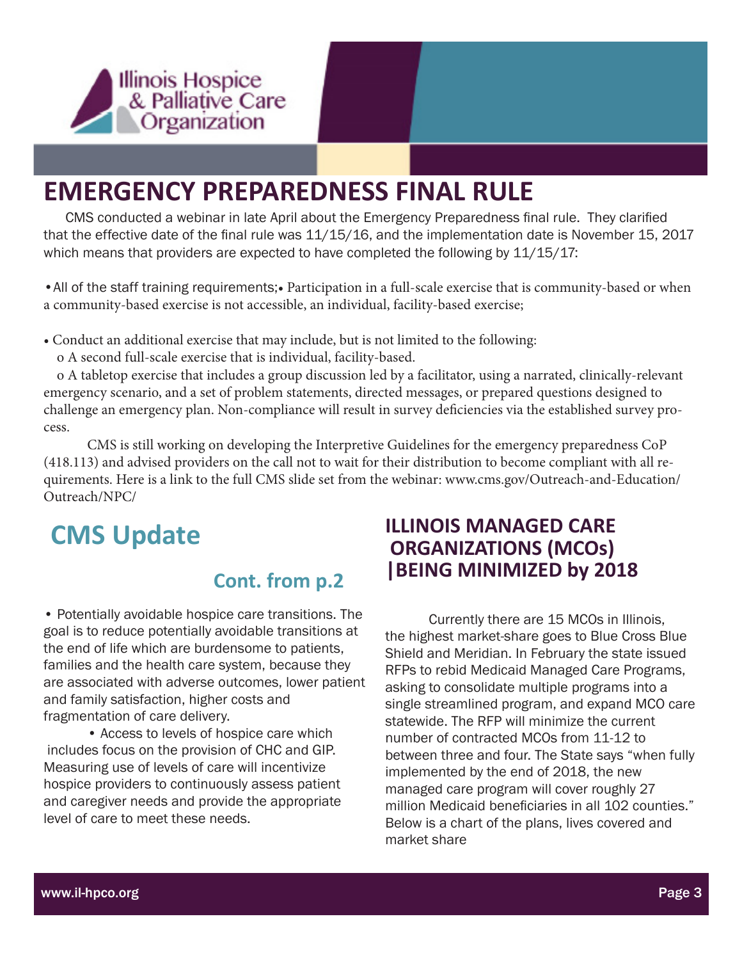

## **EMERGENCY PREPAREDNESS FINAL RULE**

 CMS conducted a webinar in late April about the Emergency Preparedness final rule. They clarified that the effective date of the final rule was 11/15/16, and the implementation date is November 15, 2017 which means that providers are expected to have completed the following by  $11/15/17$ :

•All of the staff training requirements;• Participation in a full-scale exercise that is community-based or when a community-based exercise is not accessible, an individual, facility-based exercise;

• Conduct an additional exercise that may include, but is not limited to the following:

o A second full-scale exercise that is individual, facility-based.

 o A tabletop exercise that includes a group discussion led by a facilitator, using a narrated, clinically-relevant emergency scenario, and a set of problem statements, directed messages, or prepared questions designed to challenge an emergency plan. Non-compliance will result in survey deficiencies via the established survey process.

CMS is still working on developing the Interpretive Guidelines for the emergency preparedness CoP (418.113) and advised providers on the call not to wait for their distribution to become compliant with all requirements. Here is a link to the full CMS slide set from the webinar: www.cms.gov/Outreach-and-Education/ Outreach/NPC/

# **CMS Update**

#### **Cont. from p.2**

• Potentially avoidable hospice care transitions. The goal is to reduce potentially avoidable transitions at the end of life which are burdensome to patients, families and the health care system, because they are associated with adverse outcomes, lower patient and family satisfaction, higher costs and fragmentation of care delivery.

• Access to levels of hospice care which includes focus on the provision of CHC and GIP. Measuring use of levels of care will incentivize hospice providers to continuously assess patient and caregiver needs and provide the appropriate level of care to meet these needs.

#### **ILLINOIS MANAGED CARE ORGANIZATIONS (MCOs) |BEING MINIMIZED by 2018**

Currently there are 15 MCOs in Illinois, the highest market-share goes to Blue Cross Blue Shield and Meridian. In February the state issued RFPs to rebid Medicaid Managed Care Programs, asking to consolidate multiple programs into a single streamlined program, and expand MCO care statewide. The RFP will minimize the current number of contracted MCOs from 11-12 to between three and four. The State says "when fully implemented by the end of 2018, the new managed care program will cover roughly 27 million Medicaid beneficiaries in all 102 counties." Below is a chart of the plans, lives covered and market share